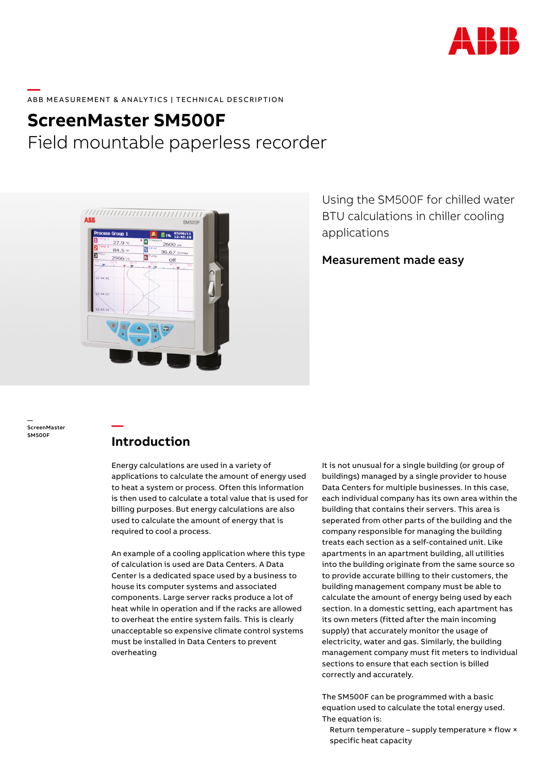

### **—**  ABB MEASUREMENT & ANALYTICS | TECHNICAL DESCRIPTION

# **ScreenMaster SM500F** Field mountable paperless recorder



Using the SM500F for chilled water BTU calculations in chiller cooling applications

Measurement made easy

— ScreenMaster SM500F

# **Introduction**

**—**

Energy calculations are used in a variety of applications to calculate the amount of energy used to heat a system or process. Often this information is then used to calculate a total value that is used for billing purposes. But energy calculations are also used to calculate the amount of energy that is required to cool a process.

An example of a cooling application where this type of calculation is used are Data Centers. A Data Center is a dedicated space used by a business to house its computer systems and associated components. Large server racks produce a lot of heat while in operation and if the racks are allowed to overheat the entire system fails. This is clearly unacceptable so expensive climate control systems must be installed in Data Centers to prevent overheating

It is not unusual for a single building (or group of buildings) managed by a single provider to house Data Centers for multiple businesses. In this case, each individual company has its own area within the building that contains their servers. This area is seperated from other parts of the building and the company responsible for managing the building treats each section as a self-contained unit. Like apartments in an apartment building, all utilities into the building originate from the same source so to provide accurate billing to their customers, the building management company must be able to calculate the amount of energy being used by each section. In a domestic setting, each apartment has its own meters (fitted after the main incoming supply) that accurately monitor the usage of electricity, water and gas. Similarly, the building management company must fit meters to individual sections to ensure that each section is billed correctly and accurately.

The SM500F can be programmed with a basic equation used to calculate the total energy used. The equation is:

Return temperature – supply temperature × flow × specific heat capacity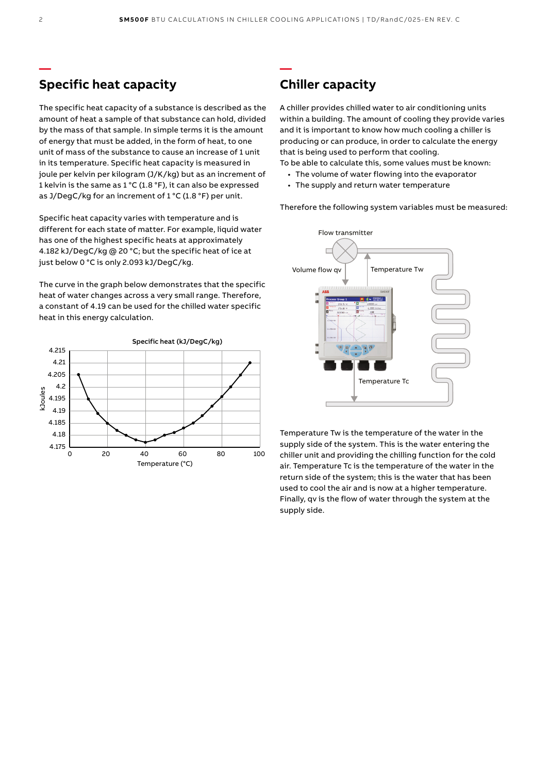**—**

# **Specific heat capacity**

The specific heat capacity of a substance is described as the amount of heat a sample of that substance can hold, divided by the mass of that sample. In simple terms it is the amount of energy that must be added, in the form of heat, to one unit of mass of the substance to cause an increase of 1 unit in its temperature. Specific heat capacity is measured in joule per kelvin per kilogram (J/K/kg) but as an increment of 1 kelvin is the same as 1 °C (1.8 °F), it can also be expressed as J/DegC/kg for an increment of 1 °C (1.8 °F) per unit.

Specific heat capacity varies with temperature and is different for each state of matter. For example, liquid water has one of the highest specific heats at approximately 4.182 kJ/DegC/kg @ 20 °C; but the specific heat of ice at just below 0 °C is only 2.093 kJ/DegC/kg.

The curve in the graph below demonstrates that the specific heat of water changes across a very small range. Therefore, a constant of 4.19 can be used for the chilled water specific heat in this energy calculation.



# **Chiller capacity**

A chiller provides chilled water to air conditioning units within a building. The amount of cooling they provide varies and it is important to know how much cooling a chiller is producing or can produce, in order to calculate the energy that is being used to perform that cooling.

To be able to calculate this, some values must be known:

- The volume of water flowing into the evaporator
- The supply and return water temperature

Therefore the following system variables must be measured:



Temperature Tw is the temperature of the water in the supply side of the system. This is the water entering the chiller unit and providing the chilling function for the cold air. Temperature Tc is the temperature of the water in the return side of the system; this is the water that has been used to cool the air and is now at a higher temperature. Finally, qv is the flow of water through the system at the supply side.

**—**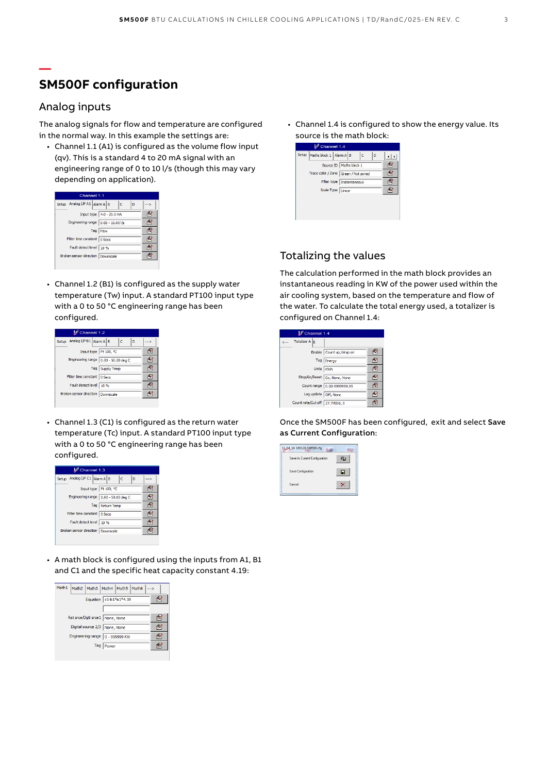# **SM500F configuration**

### Analog inputs

**—**

The analog signals for flow and temperature are configured in the normal way. In this example the settings are:

• Channel 1.1 (A1) is configured as the volume flow input (qv). This is a standard 4 to 20 mA signal with an engineering range of 0 to 10 l/s (though this may vary depending on application).

| Channel 1 <sub>1</sub>                  |     |
|-----------------------------------------|-----|
| Setup Analog I/P A1 Alarm A B<br>Ċ<br>D | --> |
| Input type 4.0 - 20.0 mA                | f.  |
| Engineering range 0.00 - 10.00 l/s      | ß.  |
| Tag Flow                                | d.  |
| Filter time constant 0 Secs             | ß.  |
| Fault detect level 10 %                 | P   |
| Broken sensor direction Downscale       | ę,  |
|                                         |     |

• Channel 1.2 (B1) is configured as the supply water temperature (Tw) input. A standard PT100 input type with a 0 to 50 °C engineering range has been configured.

| Channel 1.2                             |      |  |  |  |
|-----------------------------------------|------|--|--|--|
| Setup Analog I/P B1 Alarm A B<br>c<br>D | -- > |  |  |  |
| Input type Pt 100, ℃                    | z    |  |  |  |
| Engineering range   0.00 - 50.00 deg C  |      |  |  |  |
| Tag Supply Temp                         |      |  |  |  |
| Filter time constant   0 Secs           | Р    |  |  |  |
| Fault detect level   10 %               |      |  |  |  |
| Broken sensor direction Downscale       |      |  |  |  |
|                                         |      |  |  |  |

• Channel 1.3 (C1) is configured as the return water temperature (Tc) input. A standard PT100 input type with a 0 to 50 °C engineering range has been configured.

| Channel 1.3                             |     |
|-----------------------------------------|-----|
| Setup Analog I/P C1 Alarm A B<br>D<br>c | --> |
| Input type Pt 100, ℃                    | 乺   |
| Engineering range   0.00 - 50.00 deg C  | Ħ   |
| Tag Return Temp                         | Ø   |
| Filter time constant   0 Secs           | z   |
| Fault detect level   10 %               | €   |
| Broken sensor direction   Downscale     |     |

• A math block is configured using the inputs from A1, B1 and C1 and the specific heat capacity constant 4.19:

| Math1 |     | Math2 Math3 Math4 Math5 Math6    | -- 5 |
|-------|-----|----------------------------------|------|
|       |     | Equation   c1-b1*a1*4.19         | F.   |
|       |     |                                  |      |
|       |     | Rst srce/Dgtl srce1   None, None | Z    |
|       |     | Digital source 2/3 None, None    | Z    |
|       |     | Engineering range 0 - 999999 KW  | 5    |
|       | Tag | Power                            |      |
|       |     |                                  |      |

• Channel 1.4 is configured to show the energy value. Its source is the math block:



### Totalizing the values

The calculation performed in the math block provides an instantaneous reading in KW of the power used within the air cooling system, based on the temperature and flow of the water. To calculate the total energy used, a totalizer is configured on Channel 1.4:

| Channel 1.4                    |   |  |  |  |  |
|--------------------------------|---|--|--|--|--|
| <--- Totalizer A B             |   |  |  |  |  |
| Enable   Count up, Wrap on     | z |  |  |  |  |
| Tag Energy                     |   |  |  |  |  |
| Units KWh                      |   |  |  |  |  |
| Stop/Go/Reset Go, None, None   | 9 |  |  |  |  |
| Count range 0.00-9999999.99    |   |  |  |  |  |
| Log update Off, None           |   |  |  |  |  |
| Count rate/Cut off 27,77000, 0 |   |  |  |  |  |

Once the SM500F has been configured, exit and select Save as Current Configuration: